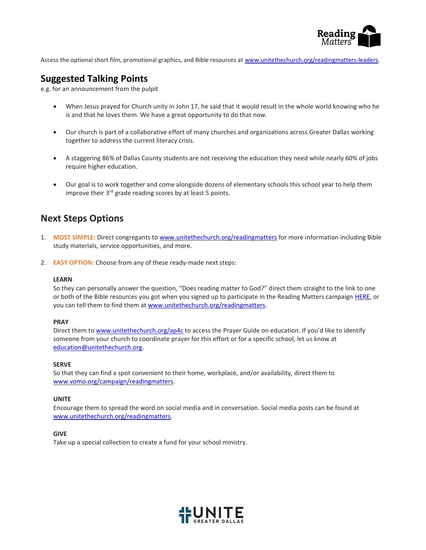

Access the optional short film, promotional graphics, and Bible resources at [www.unitethechurch.org/readingmatters-leaders.](http://www.unitethechurch.org/readingmatters-leaders)

## **Suggested Talking Points**

e.g. for an announcement from the pulpit

- When Jesus prayed for Church unity in John 17, he said that it would result in the whole world knowing who he is and that he loves them. We have a great opportunity to do that now.
- Our church is part of a collaborative effort of many churches and organizations across Greater Dallas working together to address the current literacy crisis.
- A staggering 86% of Dallas County students are not receiving the education they need while nearly 60% of jobs require higher education.
- Our goal is to work together and come alongside dozens of elementary schools this school year to help them improve their 3<sup>rd</sup> grade reading scores by at least 5 points.

# **Next Steps Options**

- 1. **MOST SIMPLE:** Direct congregants t[o www.unitethechurch.org/readingmatters](http://www.unitethechurch.org/readingmatters) for more information including Bible study materials, service opportunities, and more.
- 2. **EASY OPTION:** Choose from any of these ready-made next steps:

## **LEARN**

So they can personally answer the question, "Does reading matter to God?" direct them straight to the link to one or both of the Bible resources you got when you signed up to participate in the Reading Matters campaign [HERE,](https://www.surveymonkey.com/r/readingmatters) or you can tell them to find them a[t www.unitethechurch.org/readingmatters.](http://www.unitethechurch.org/readingmatters)

## **PRAY**

Direct them to [www.unitethechurch.org/ap4c](http://www.unitethechurch.org/ap4c) to access the Prayer Guide on education. If you'd like to identify someone from your church to coordinate prayer for this effort or for a specific school, let us know at [education@unitethechurch.org.](mailto:education@unitethechurch.org)

## **SERVE**

So that they can find a spot convenient to their home, workplace, and/or availability, direct them to [www.vomo.org/campaign/readingmatters.](http://www.vomo.org/campaign/readingmatters)

## **UNITE**

Encourage them to spread the word on social media and in conversation. Social media posts can be found at [www.unitethechurch.org/readingmatters.](http://www.unitethechurch.org/readingmatters)

## **GIVE**

Take up a special collection to create a fund for your school ministry.